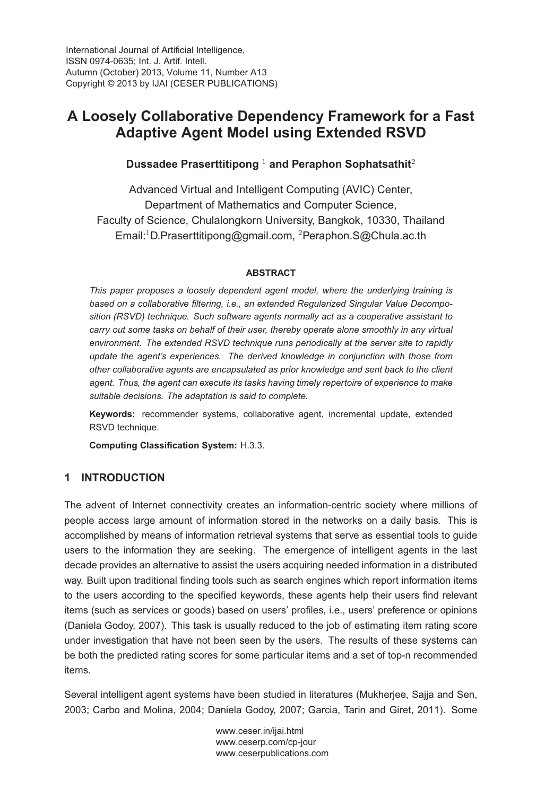International Journal of Artificial Intelligence,<br>ISSN 0974-0635: Int. J. Artif. Intell. Autumn (October) 2013, Volume 11, Number A13 Convright © 2013 by LIAL (CESER PUBLICATION)  $\sum_{i=1}^{n}$ 

# **A Loosely Collaborative Dependency Framework for a Fast Adaptive Agent Model using Extended RSVD**

# **Dussadee Praserttitipong** <sup>1</sup> **and Peraphon Sophatsathit**<sup>2</sup>

Advanced Virtual and Intelligent Computing (AVIC) Center, Department of Mathematics and Computer Science, Faculty of Science, Chulalongkorn University, Bangkok, 10330, Thailand Email:<sup>1</sup>D.Praserttitipong@gmail.com, <sup>2</sup>Peraphon.S@Chula.ac.th

#### **ABSTRACT**

*This paper proposes a loosely dependent agent model, where the underlying training is based on a collaborative filtering, i.e., an extended Regularized Singular Value Decomposition (RSVD) technique. Such software agents normally act as a cooperative assistant to carry out some tasks on behalf of their user, thereby operate alone smoothly in any virtual environment. The extended RSVD technique runs periodically at the server site to rapidly update the agent's experiences. The derived knowledge in conjunction with those from other collaborative agents are encapsulated as prior knowledge and sent back to the client agent. Thus, the agent can execute its tasks having timely repertoire of experience to make suitable decisions. The adaptation is said to complete.*

**Keywords:** recommender systems, collaborative agent, incremental update, extended RSVD technique.

**Computing Classification System:** H.3.3.

# **1 INTRODUCTION**

The advent of Internet connectivity creates an information-centric society where millions of people access large amount of information stored in the networks on a daily basis. This is accomplished by means of information retrieval systems that serve as essential tools to guide users to the information they are seeking. The emergence of intelligent agents in the last decade provides an alternative to assist the users acquiring needed information in a distributed way. Built upon traditional finding tools such as search engines which report information items to the users according to the specified keywords, these agents help their users find relevant items (such as services or goods) based on users' profiles, i.e., users' preference or opinions (Daniela Godoy, 2007). This task is usually reduced to the job of estimating item rating score under investigation that have not been seen by the users. The results of these systems can be both the predicted rating scores for some particular items and a set of top-n recommended items.

Several intelligent agent systems have been studied in literatures (Mukherjee, Sajja and Sen, 2003; Carbo and Molina, 2004; Daniela Godoy, 2007; Garcia, Tarin and Giret, 2011). Some

> www.ceser.in/ijai.html<br>www.ceserp.com/cp-jour www.ceserpublications.com ww.ceserpublications.com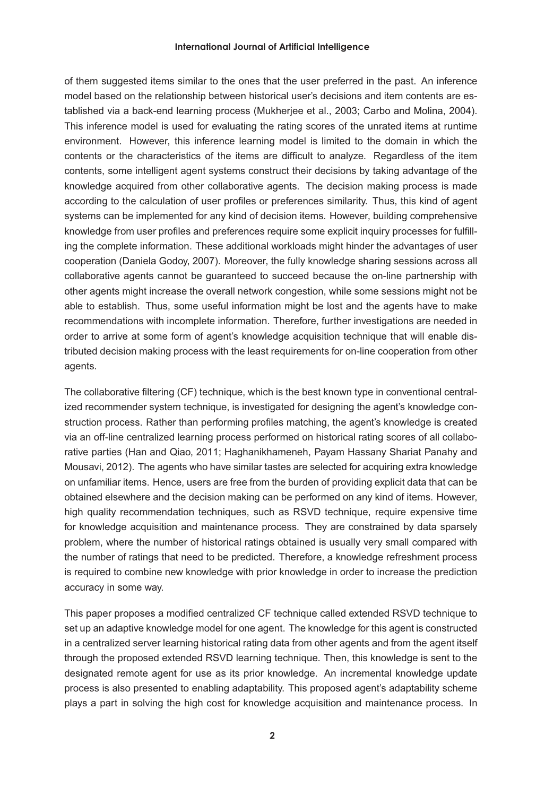of them suggested items similar to the ones that the user preferred in the past. An inference model based on the relationship between historical user's decisions and item contents are established via a back-end learning process (Mukherjee et al., 2003; Carbo and Molina, 2004). This inference model is used for evaluating the rating scores of the unrated items at runtime environment. However, this inference learning model is limited to the domain in which the contents or the characteristics of the items are difficult to analyze. Regardless of the item contents, some intelligent agent systems construct their decisions by taking advantage of the knowledge acquired from other collaborative agents. The decision making process is made according to the calculation of user profiles or preferences similarity. Thus, this kind of agent systems can be implemented for any kind of decision items. However, building comprehensive knowledge from user profiles and preferences require some explicit inquiry processes for fulfilling the complete information. These additional workloads might hinder the advantages of user cooperation (Daniela Godoy, 2007). Moreover, the fully knowledge sharing sessions across all collaborative agents cannot be guaranteed to succeed because the on-line partnership with other agents might increase the overall network congestion, while some sessions might not be able to establish. Thus, some useful information might be lost and the agents have to make recommendations with incomplete information. Therefore, further investigations are needed in order to arrive at some form of agent's knowledge acquisition technique that will enable distributed decision making process with the least requirements for on-line cooperation from other agents.

The collaborative filtering (CF) technique, which is the best known type in conventional centralized recommender system technique, is investigated for designing the agent's knowledge construction process. Rather than performing profiles matching, the agent's knowledge is created via an off-line centralized learning process performed on historical rating scores of all collaborative parties (Han and Qiao, 2011; Haghanikhameneh, Payam Hassany Shariat Panahy and Mousavi, 2012). The agents who have similar tastes are selected for acquiring extra knowledge on unfamiliar items. Hence, users are free from the burden of providing explicit data that can be obtained elsewhere and the decision making can be performed on any kind of items. However, high quality recommendation techniques, such as RSVD technique, require expensive time for knowledge acquisition and maintenance process. They are constrained by data sparsely problem, where the number of historical ratings obtained is usually very small compared with the number of ratings that need to be predicted. Therefore, a knowledge refreshment process is required to combine new knowledge with prior knowledge in order to increase the prediction accuracy in some way.

This paper proposes a modified centralized CF technique called extended RSVD technique to set up an adaptive knowledge model for one agent. The knowledge for this agent is constructed in a centralized server learning historical rating data from other agents and from the agent itself through the proposed extended RSVD learning technique. Then, this knowledge is sent to the designated remote agent for use as its prior knowledge. An incremental knowledge update process is also presented to enabling adaptability. This proposed agent's adaptability scheme plays a part in solving the high cost for knowledge acquisition and maintenance process. In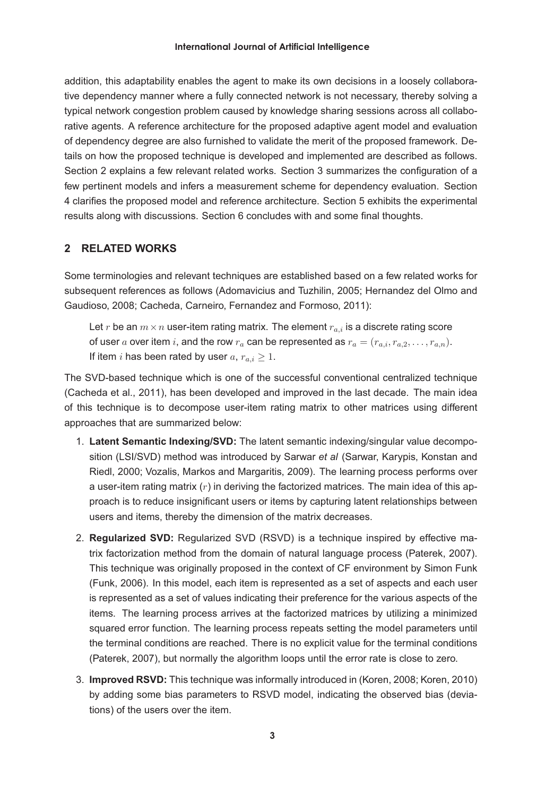addition, this adaptability enables the agent to make its own decisions in a loosely collaborative dependency manner where a fully connected network is not necessary, thereby solving a typical network congestion problem caused by knowledge sharing sessions across all collaborative agents. A reference architecture for the proposed adaptive agent model and evaluation of dependency degree are also furnished to validate the merit of the proposed framework. Details on how the proposed technique is developed and implemented are described as follows. Section 2 explains a few relevant related works. Section 3 summarizes the configuration of a few pertinent models and infers a measurement scheme for dependency evaluation. Section 4 clarifies the proposed model and reference architecture. Section 5 exhibits the experimental results along with discussions. Section 6 concludes with and some final thoughts.

# **2 RELATED WORKS**

Some terminologies and relevant techniques are established based on a few related works for subsequent references as follows (Adomavicius and Tuzhilin, 2005; Hernandez del Olmo and Gaudioso, 2008; Cacheda, Carneiro, Fernandez and Formoso, 2011):

Let r be an  $m \times n$  user-item rating matrix. The element  $r_{a,i}$  is a discrete rating score of user a over item i, and the row  $r_a$  can be represented as  $r_a = (r_{a,i}, r_{a,2}, \ldots, r_{a,n}).$ If item *i* has been rated by user  $a, r_{a,i} > 1$ .

The SVD-based technique which is one of the successful conventional centralized technique (Cacheda et al., 2011), has been developed and improved in the last decade. The main idea of this technique is to decompose user-item rating matrix to other matrices using different approaches that are summarized below:

- 1. **Latent Semantic Indexing/SVD:** The latent semantic indexing/singular value decomposition (LSI/SVD) method was introduced by Sarwar *et al* (Sarwar, Karypis, Konstan and Riedl, 2000; Vozalis, Markos and Margaritis, 2009). The learning process performs over a user-item rating matrix  $(r)$  in deriving the factorized matrices. The main idea of this approach is to reduce insignificant users or items by capturing latent relationships between users and items, thereby the dimension of the matrix decreases.
- 2. **Regularized SVD:** Regularized SVD (RSVD) is a technique inspired by effective matrix factorization method from the domain of natural language process (Paterek, 2007). This technique was originally proposed in the context of CF environment by Simon Funk (Funk, 2006). In this model, each item is represented as a set of aspects and each user is represented as a set of values indicating their preference for the various aspects of the items. The learning process arrives at the factorized matrices by utilizing a minimized squared error function. The learning process repeats setting the model parameters until the terminal conditions are reached. There is no explicit value for the terminal conditions (Paterek, 2007), but normally the algorithm loops until the error rate is close to zero.
- 3. **Improved RSVD:** This technique was informally introduced in (Koren, 2008; Koren, 2010) by adding some bias parameters to RSVD model, indicating the observed bias (deviations) of the users over the item.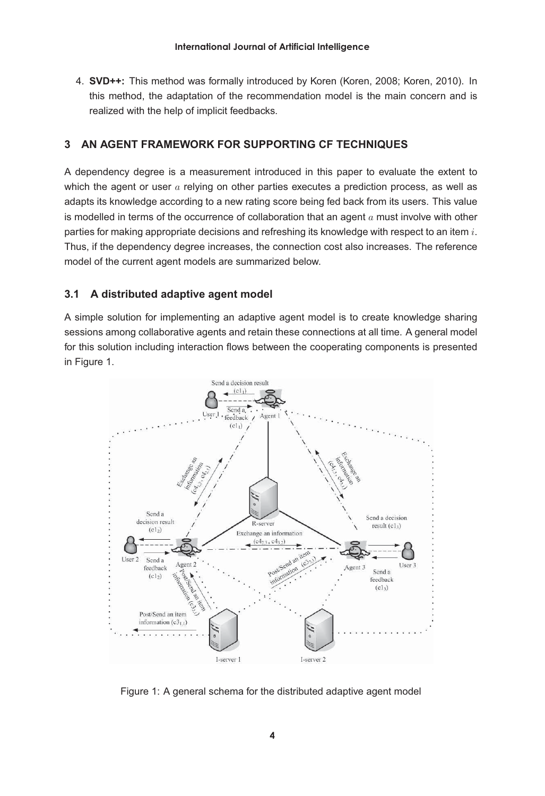4. **SVD++:** This method was formally introduced by Koren (Koren, 2008; Koren, 2010). In this method, the adaptation of the recommendation model is the main concern and is realized with the help of implicit feedbacks.

# **3 AN AGENT FRAMEWORK FOR SUPPORTING CF TECHNIQUES**

A dependency degree is a measurement introduced in this paper to evaluate the extent to which the agent or user  $\alpha$  relying on other parties executes a prediction process, as well as adapts its knowledge according to a new rating score being fed back from its users. This value is modelled in terms of the occurrence of collaboration that an agent  $a$  must involve with other parties for making appropriate decisions and refreshing its knowledge with respect to an item i. Thus, if the dependency degree increases, the connection cost also increases. The reference model of the current agent models are summarized below.

#### **3.1 A distributed adaptive agent model**

A simple solution for implementing an adaptive agent model is to create knowledge sharing sessions among collaborative agents and retain these connections at all time. A general model for this solution including interaction flows between the cooperating components is presented in Figure 1.



Figure 1: A general schema for the distributed adaptive agent model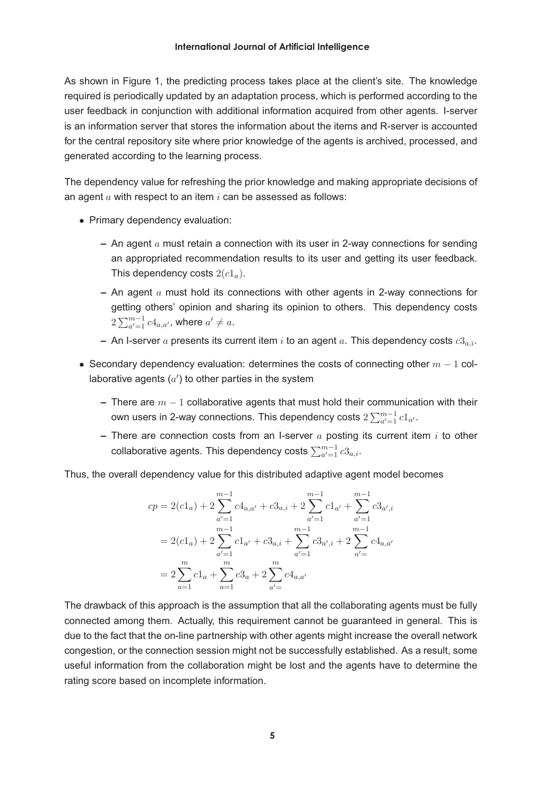As shown in Figure 1, the predicting process takes place at the client's site. The knowledge required is periodically updated by an adaptation process, which is performed according to the user feedback in conjunction with additional information acquired from other agents. I-server is an information server that stores the information about the items and R-server is accounted for the central repository site where prior knowledge of the agents is archived, processed, and generated according to the learning process.

The dependency value for refreshing the prior knowledge and making appropriate decisions of an agent  $a$  with respect to an item  $i$  can be assessed as follows:

- Primary dependency evaluation:
	- **–** An agent a must retain a connection with its user in 2-way connections for sending an appropriated recommendation results to its user and getting its user feedback. This dependency costs  $2(c1_a)$ .
	- **–** An agent a must hold its connections with other agents in 2-way connections for getting others' opinion and sharing its opinion to others. This dependency costs  $2\sum_{a'=1}^{m-1} c4_{a,a'}$ , where  $a' \neq a$ .
	- $\overline{P}$  An I-server a presents its current item i to an agent a. This dependency costs  $c3a_i$ .
- Secondary dependency evaluation: determines the costs of connecting other  $m 1$  collaborative agents  $(a')$  to other parties in the system
	- **–** There are m <sup>−</sup> <sup>1</sup> collaborative agents that must hold their communication with their own users in 2-way connections. This dependency costs  $2\sum_{a'=1}^{m-1}c1_{a'}.$
	- **–** There are connection costs from an I-server a posting its current item i to other collaborative agents. This dependency costs  $\sum_{a'=1}^{m-1}c3_{a,i}.$

Thus, the overall dependency value for this distributed adaptive agent model becomes

$$
\begin{aligned} cp &= 2(cl_a) + 2\sum_{a'=1}^{m-1} c4_{a,a'} + c3_{a,i} + 2\sum_{a'=1}^{m-1} c1_{a'} + \sum_{a'=1}^{m-1} c3_{a',i} \\ &= 2(cl_a) + 2\sum_{a'=1}^{m-1} cl_{a'} + c3_{a,i} + \sum_{a'=1}^{m-1} c3_{a',i} + 2\sum_{a'=}^{m-1} c4_{a,a'} \\ &= 2\sum_{a=1}^{m} c1_a + \sum_{a=1}^{m} c3_a + 2\sum_{a'=}^{m} c4_{a,a'} \end{aligned}
$$

The drawback of this approach is the assumption that all the collaborating agents must be fully connected among them. Actually, this requirement cannot be guaranteed in general. This is due to the fact that the on-line partnership with other agents might increase the overall network congestion, or the connection session might not be successfully established. As a result, some useful information from the collaboration might be lost and the agents have to determine the rating score based on incomplete information.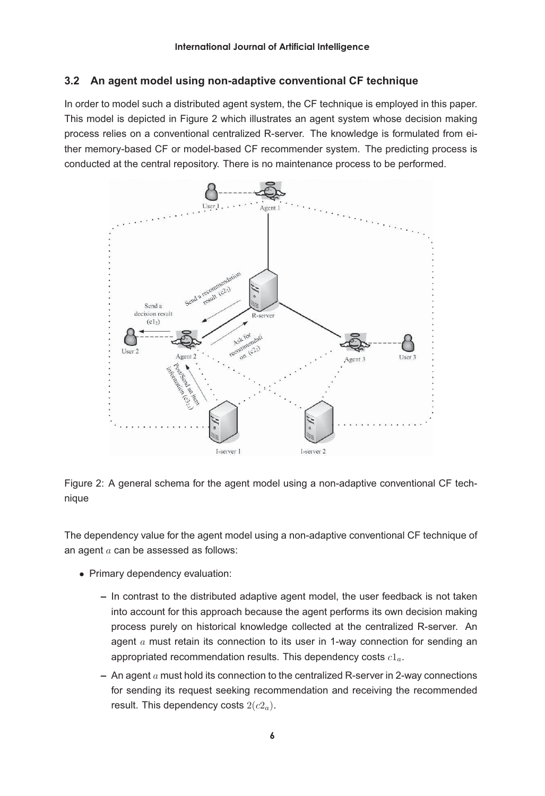# **3.2 An agent model using non-adaptive conventional CF technique**

In order to model such a distributed agent system, the CF technique is employed in this paper. This model is depicted in Figure 2 which illustrates an agent system whose decision making process relies on a conventional centralized R-server. The knowledge is formulated from either memory-based CF or model-based CF recommender system. The predicting process is conducted at the central repository. There is no maintenance process to be performed.



Figure 2: A general schema for the agent model using a non-adaptive conventional CF technique

The dependency value for the agent model using a non-adaptive conventional CF technique of an agent  $a$  can be assessed as follows:

- Primary dependency evaluation:
	- **–** In contrast to the distributed adaptive agent model, the user feedback is not taken into account for this approach because the agent performs its own decision making process purely on historical knowledge collected at the centralized R-server. An agent  $a$  must retain its connection to its user in 1-way connection for sending an appropriated recommendation results. This dependency costs  $c1_a$ .
	- **–** An agent a must hold its connection to the centralized R-server in 2-way connections for sending its request seeking recommendation and receiving the recommended result. This dependency costs  $2(c2_a)$ .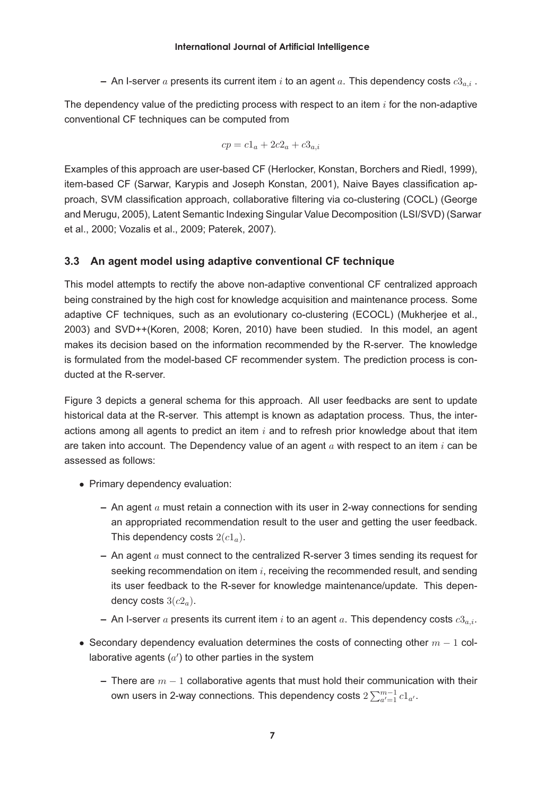$-$  An I-server a presents its current item i to an agent a. This dependency costs  $c3_{a,i}$ .

The dependency value of the predicting process with respect to an item  $i$  for the non-adaptive conventional CF techniques can be computed from

$$
cp = c1_a + 2c2_a + c3_{a,i}
$$

Examples of this approach are user-based CF (Herlocker, Konstan, Borchers and Riedl, 1999), item-based CF (Sarwar, Karypis and Joseph Konstan, 2001), Naive Bayes classification approach, SVM classification approach, collaborative filtering via co-clustering (COCL) (George and Merugu, 2005), Latent Semantic Indexing Singular Value Decomposition (LSI/SVD) (Sarwar et al., 2000; Vozalis et al., 2009; Paterek, 2007).

#### **3.3 An agent model using adaptive conventional CF technique**

This model attempts to rectify the above non-adaptive conventional CF centralized approach being constrained by the high cost for knowledge acquisition and maintenance process. Some adaptive CF techniques, such as an evolutionary co-clustering (ECOCL) (Mukherjee et al., 2003) and SVD++(Koren, 2008; Koren, 2010) have been studied. In this model, an agent makes its decision based on the information recommended by the R-server. The knowledge is formulated from the model-based CF recommender system. The prediction process is conducted at the R-server.

Figure 3 depicts a general schema for this approach. All user feedbacks are sent to update historical data at the R-server. This attempt is known as adaptation process. Thus, the interactions among all agents to predict an item  $i$  and to refresh prior knowledge about that item are taken into account. The Dependency value of an agent  $a$  with respect to an item  $i$  can be assessed as follows:

- Primary dependency evaluation:
	- **–** An agent a must retain a connection with its user in 2-way connections for sending an appropriated recommendation result to the user and getting the user feedback. This dependency costs  $2(c1_a)$ .
	- **–** An agent a must connect to the centralized R-server 3 times sending its request for seeking recommendation on item  $i$ , receiving the recommended result, and sending its user feedback to the R-sever for knowledge maintenance/update. This dependency costs  $3(c2_a)$ .
	- $-$  An I-server a presents its current item i to an agent a. This dependency costs  $c3_{a,i}$ .
- Secondary dependency evaluation determines the costs of connecting other  $m 1$  collaborative agents  $(a')$  to other parties in the system
	- **–** There are m <sup>−</sup> <sup>1</sup> collaborative agents that must hold their communication with their own users in 2-way connections. This dependency costs  $2\sum_{a'=1}^{m-1}c1_{a'}.$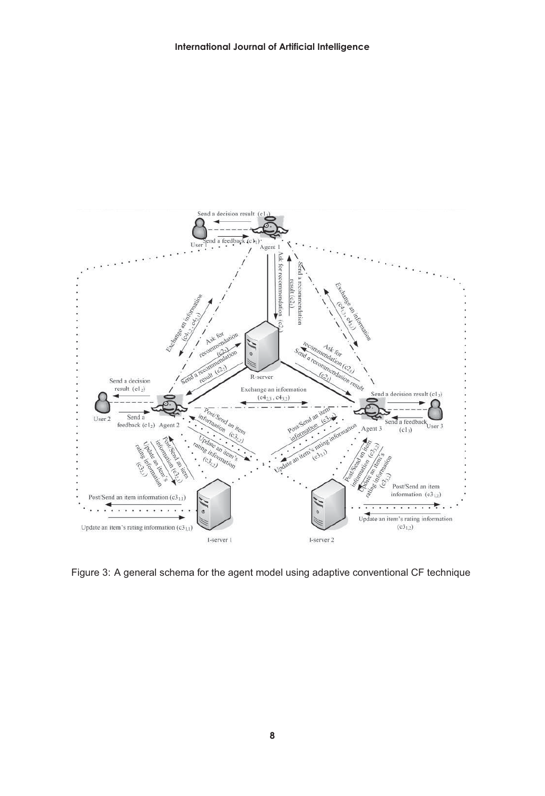

Figure 3: A general schema for the agent model using adaptive conventional CF technique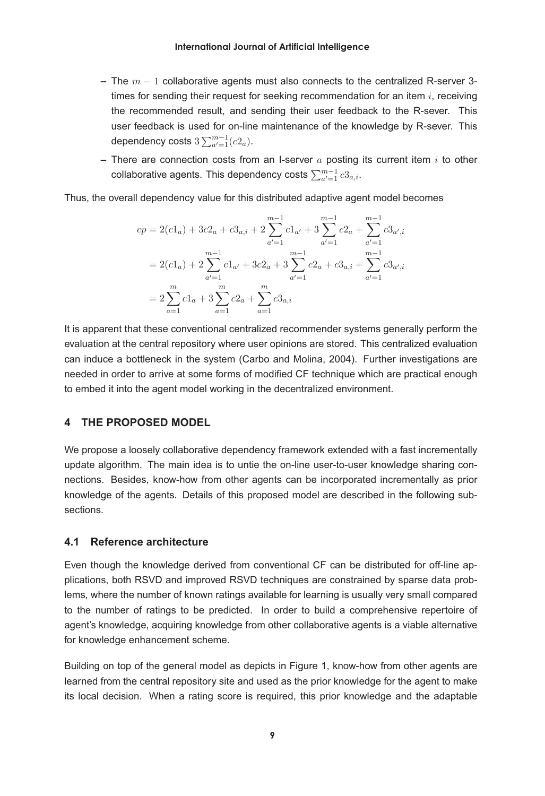- **–** The m <sup>−</sup> <sup>1</sup> collaborative agents must also connects to the centralized R-server 3 times for sending their request for seeking recommendation for an item  $i$ , receiving the recommended result, and sending their user feedback to the R-sever. This user feedback is used for on-line maintenance of the knowledge by R-sever. This dependency costs  $3\sum_{a'=1}^{m-1}(c2_a)$ .
- **–** There are connection costs from an I-server a posting its current item i to other collaborative agents. This dependency costs  $\sum_{a'=1}^{m-1} c3_{a,i}.$

Thus, the overall dependency value for this distributed adaptive agent model becomes

$$
cp = 2(c1a) + 3c2a + c3a,i + 2\sum_{a'=1}^{m-1} c1a' + 3\sum_{a'=1}^{m-1} c2a + \sum_{a'=1}^{m-1} c3a',i
$$
  
= 2(c1<sub>a</sub>) + 2\sum\_{a'=1}^{m-1} c1<sub>a'</sub> + 3c2<sub>a</sub> + 3\sum\_{a'=1}^{m-1} c2<sub>a</sub> + c3<sub>a,i</sub> + \sum\_{a'=1}^{m-1} c3<sub>a',i</sub>  
= 2\sum\_{a=1}^{m} c1<sub>a</sub> + 3\sum\_{a=1}^{m} c2<sub>a</sub> + \sum\_{a=1}^{m} c3<sub>a,i</sub>

It is apparent that these conventional centralized recommender systems generally perform the evaluation at the central repository where user opinions are stored. This centralized evaluation can induce a bottleneck in the system (Carbo and Molina, 2004). Further investigations are needed in order to arrive at some forms of modified CF technique which are practical enough to embed it into the agent model working in the decentralized environment.

#### **4 THE PROPOSED MODEL**

We propose a loosely collaborative dependency framework extended with a fast incrementally update algorithm. The main idea is to untie the on-line user-to-user knowledge sharing connections. Besides, know-how from other agents can be incorporated incrementally as prior knowledge of the agents. Details of this proposed model are described in the following subsections.

#### **4.1 Reference architecture**

Even though the knowledge derived from conventional CF can be distributed for off-line applications, both RSVD and improved RSVD techniques are constrained by sparse data problems, where the number of known ratings available for learning is usually very small compared to the number of ratings to be predicted. In order to build a comprehensive repertoire of agent's knowledge, acquiring knowledge from other collaborative agents is a viable alternative for knowledge enhancement scheme.

Building on top of the general model as depicts in Figure 1, know-how from other agents are learned from the central repository site and used as the prior knowledge for the agent to make its local decision. When a rating score is required, this prior knowledge and the adaptable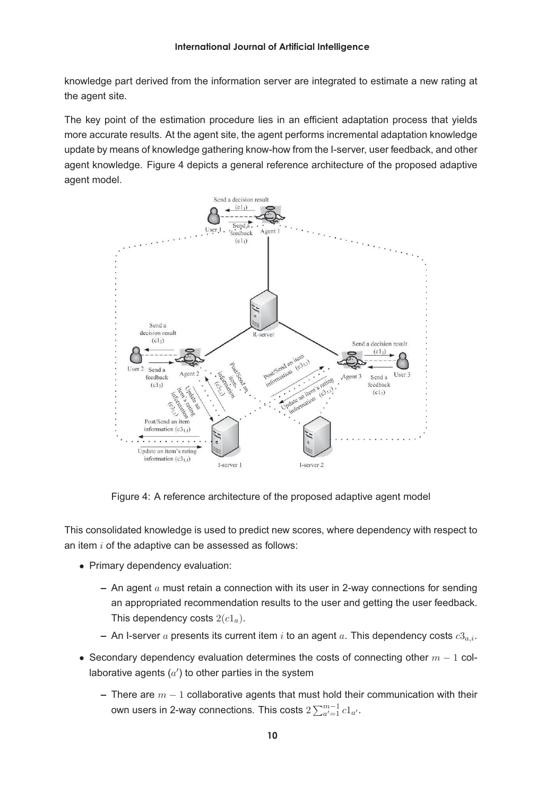knowledge part derived from the information server are integrated to estimate a new rating at the agent site.

The key point of the estimation procedure lies in an efficient adaptation process that yields more accurate results. At the agent site, the agent performs incremental adaptation knowledge update by means of knowledge gathering know-how from the I-server, user feedback, and other agent knowledge. Figure 4 depicts a general reference architecture of the proposed adaptive agent model.



Figure 4: A reference architecture of the proposed adaptive agent model

This consolidated knowledge is used to predict new scores, where dependency with respect to an item  $i$  of the adaptive can be assessed as follows:

- Primary dependency evaluation:
	- **–** An agent a must retain a connection with its user in 2-way connections for sending an appropriated recommendation results to the user and getting the user feedback. This dependency costs  $2(c1_a)$ .
	- $-$  An I-server a presents its current item i to an agent a. This dependency costs  $c3_{a,i}$ .
- Secondary dependency evaluation determines the costs of connecting other  $m 1$  collaborative agents  $(a')$  to other parties in the system
	- **–** There are m <sup>−</sup> <sup>1</sup> collaborative agents that must hold their communication with their own users in 2-way connections. This costs  $2\sum_{a'=1}^{m-1} c1_{a'}$ .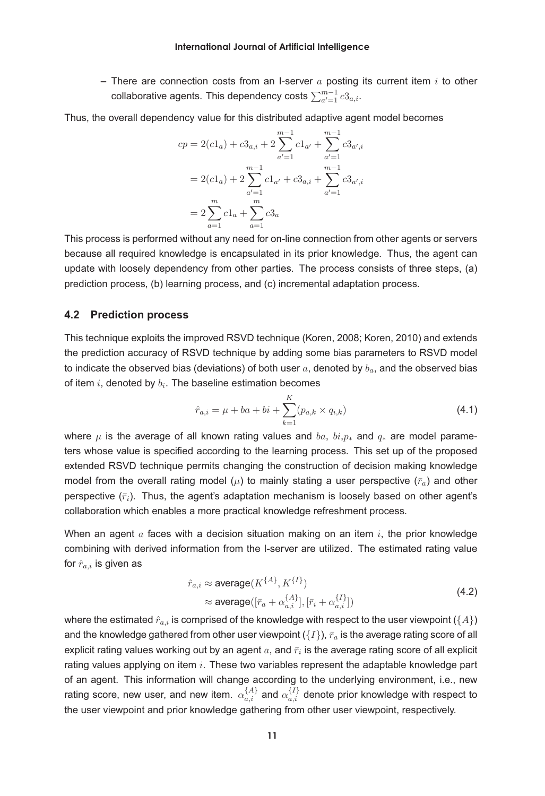**–** There are connection costs from an I-server a posting its current item i to other collaborative agents. This dependency costs  $\sum_{a'=1}^{m-1} c3_{a,i}.$ 

Thus, the overall dependency value for this distributed adaptive agent model becomes

$$
cp = 2(cl_a) + c3_{a,i} + 2 \sum_{a'=1}^{m-1} c1_{a'} + \sum_{a'=1}^{m-1} c3_{a',i}
$$
  
= 2(cl\_a) + 2  $\sum_{a'=1}^{m-1} c1_{a'} + c3_{a,i} + \sum_{a'=1}^{m-1} c3_{a',i}$   
= 2  $\sum_{a=1}^{m} c1_a + \sum_{a=1}^{m} c3_a$ 

This process is performed without any need for on-line connection from other agents or servers because all required knowledge is encapsulated in its prior knowledge. Thus, the agent can update with loosely dependency from other parties. The process consists of three steps, (a) prediction process, (b) learning process, and (c) incremental adaptation process.

#### **4.2 Prediction process**

This technique exploits the improved RSVD technique (Koren, 2008; Koren, 2010) and extends the prediction accuracy of RSVD technique by adding some bias parameters to RSVD model to indicate the observed bias (deviations) of both user  $a$ , denoted by  $b_a$ , and the observed bias of item  $i$ , denoted by  $b_i$ . The baseline estimation becomes

$$
\hat{r}_{a,i} = \mu + ba + bi + \sum_{k=1}^{K} (p_{a,k} \times q_{i,k})
$$
\n(4.1)

where  $\mu$  is the average of all known rating values and  $ba$ ,  $bi$ ,  $p_*$  and  $q_*$  are model parameters whose value is specified according to the learning process. This set up of the proposed extended RSVD technique permits changing the construction of decision making knowledge model from the overall rating model ( $\mu$ ) to mainly stating a user perspective ( $\bar{r}_a$ ) and other perspective  $(\bar{r}_i)$ . Thus, the agent's adaptation mechanism is loosely based on other agent's collaboration which enables a more practical knowledge refreshment process.

When an agent  $\alpha$  faces with a decision situation making on an item  $i$ , the prior knowledge combining with derived information from the I-server are utilized. The estimated rating value for  $\hat{r}_{a,i}$  is given as

$$
\hat{r}_{a,i} \approx \text{average}(K^{\{A\}}, K^{\{I\}})
$$
\n
$$
\approx \text{average}([\bar{r}_a + \alpha_{a,i}^{\{A\}}], [\bar{r}_i + \alpha_{a,i}^{\{I\}}])
$$
\n(4.2)

where the estimated  $\hat{r}_{a,i}$  is comprised of the knowledge with respect to the user viewpoint ({A}) and the knowledge gathered from other user viewpoint  $({I})$ ,  $\bar{r}_a$  is the average rating score of all explicit rating values working out by an agent  $a$ , and  $\bar{r}_i$  is the average rating score of all explicit rating values applying on item  $i$ . These two variables represent the adaptable knowledge part of an agent. This information will change according to the underlying environment, i.e., new rating score, new user, and new item.  $\alpha_{a,i}^{\{A\}}$  and  $\alpha_{a,i}^{\{I\}}$  denote prior knowledge with respect to the user viewpoint and prior knowledge gathering from other user viewpoint, respectively.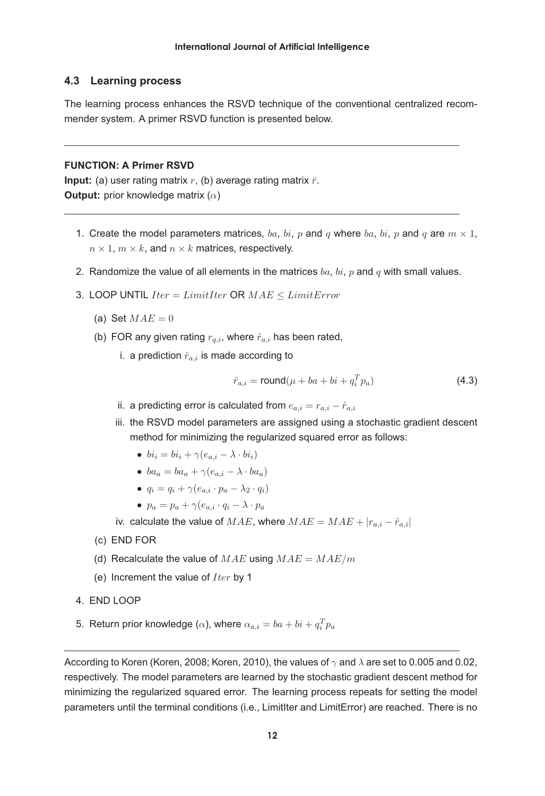#### **4.3 Learning process**

The learning process enhances the RSVD technique of the conventional centralized recommender system. A primer RSVD function is presented below.

#### **FUNCTION: A Primer RSVD**

**Input:** (a) user rating matrix  $r$ , (b) average rating matrix  $\bar{r}$ . **Output:** prior knowledge matrix (α)

- 1. Create the model parameters matrices, ba, bi, p and q where ba, bi, p and q are  $m \times 1$ ,  $n \times 1$ ,  $m \times k$ , and  $n \times k$  matrices, respectively.
- 2. Randomize the value of all elements in the matrices  $ba$ ,  $bi$ ,  $p$  and  $q$  with small values.
- 3. LOOP UNTIL  $Iter = LimitIter$  OR  $MAE < LimitError$ 
	- (a) Set  $MAE = 0$
	- (b) FOR any given rating  $r_{q,i}$ , where  $\hat{r}_{a,i}$  has been rated,
		- i. a prediction  $\hat{r}_{a,i}$  is made according to

$$
\hat{r}_{a,i} = \text{round}(\mu + ba + bi + q_i^T p_a)
$$
\n(4.3)

- ii. a predicting error is calculated from  $e_{a,i} = r_{a,i} \hat{r}_{a,i}$
- iii. the RSVD model parameters are assigned using a stochastic gradient descent method for minimizing the regularized squared error as follows:
	- $bi_i = bi_i + \gamma(e_{a,i} \lambda \cdot bi_i)$
	- $ba_a = ba_a + \gamma(e_{a,i} \lambda \cdot ba_a)$
	- $q_i = q_i + \gamma(e_{a,i} \cdot p_a \lambda_2 \cdot q_i)$
	- $p_a = p_a + \gamma (e_{a,i} \cdot q_i \lambda \cdot p_a)$

iv. calculate the value of  $MAE$ , where  $MAE = MAE + |r_{a,i} - \hat{r}_{a,i}|$ 

- (c) END FOR
- (d) Recalculate the value of  $MAE$  using  $MAE = MAE/m$
- (e) Increment the value of  $Iter$  by 1
- 4. END LOOP
- 5. Return prior knowledge ( $\alpha$ ), where  $\alpha_{a,i}=ba+bi+q_i^Tp_a$

According to Koren (Koren, 2008; Koren, 2010), the values of  $\gamma$  and  $\lambda$  are set to 0.005 and 0.02, respectively. The model parameters are learned by the stochastic gradient descent method for minimizing the regularized squared error. The learning process repeats for setting the model parameters until the terminal conditions (i.e., LimitIter and LimitError) are reached. There is no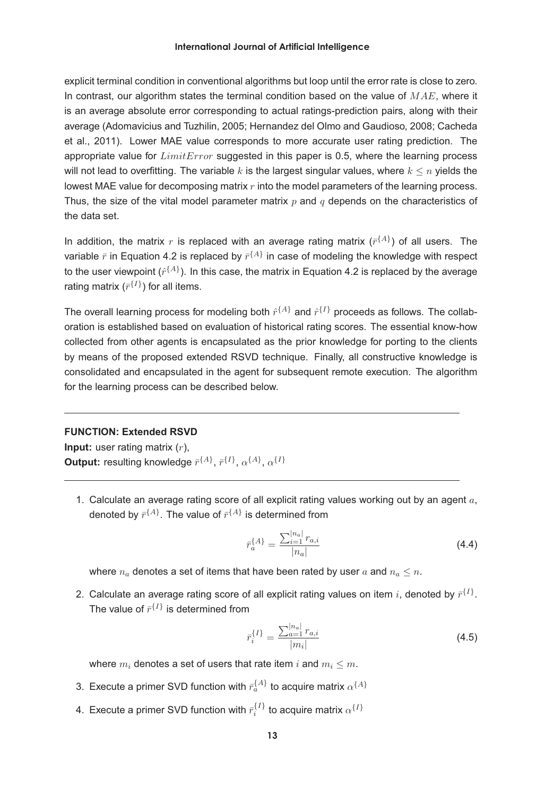explicit terminal condition in conventional algorithms but loop until the error rate is close to zero. In contrast, our algorithm states the terminal condition based on the value of  $MAE$ , where it is an average absolute error corresponding to actual ratings-prediction pairs, along with their average (Adomavicius and Tuzhilin, 2005; Hernandez del Olmo and Gaudioso, 2008; Cacheda et al., 2011). Lower MAE value corresponds to more accurate user rating prediction. The appropriate value for  $LimitError$  suggested in this paper is 0.5, where the learning process will not lead to overfitting. The variable k is the largest singular values, where  $k \leq n$  yields the lowest MAE value for decomposing matrix  $r$  into the model parameters of the learning process. Thus, the size of the vital model parameter matrix  $p$  and  $q$  depends on the characteristics of the data set.

In addition, the matrix r is replaced with an average rating matrix  $(\bar{r}^{\{A\}})$  of all users. The variable  $\bar{r}$  in Equation 4.2 is replaced by  $\bar{r}^{\{A\}}$  in case of modeling the knowledge with respect to the user viewpoint  $(\hat{r}^{\{A\}})$ . In this case, the matrix in Equation 4.2 is replaced by the average rating matrix  $(r^{I})$  for all items.

The overall learning process for modeling both  $\hat{r}^{\{A\}}$  and  $\hat{r}^{\{I\}}$  proceeds as follows. The collaboration is established based on evaluation of historical rating scores. The essential know-how collected from other agents is encapsulated as the prior knowledge for porting to the clients by means of the proposed extended RSVD technique. Finally, all constructive knowledge is consolidated and encapsulated in the agent for subsequent remote execution. The algorithm for the learning process can be described below.

#### **FUNCTION: Extended RSVD**

**Input:** user rating matrix  $(r)$ , **Output:** resulting knowledge  $\bar{r}^{\{A\}}$ ,  $\bar{r}^{\{I\}}$ ,  $\alpha^{\{A\}}$ ,  $\alpha^{\{I\}}$ 

1. Calculate an average rating score of all explicit rating values working out by an agent  $a$ , denoted by  $\bar{r}^{\{A\}}$ . The value of  $\bar{r}^{\{A\}}$  is determined from

$$
\bar{r}_a^{\{A\}} = \frac{\sum_{i=1}^{|n_a|} r_{a,i}}{|n_a|} \tag{4.4}
$$

where  $n_a$  denotes a set of items that have been rated by user a and  $n_a \leq n$ .

2. Calculate an average rating score of all explicit rating values on item i, denoted by  $\bar{r}^{\{I\}}$ . The value of  $\bar{r}^{\{I\}}$  is determined from

$$
\bar{r}_i^{\{I\}} = \frac{\sum_{a=1}^{|n_a|} r_{a,i}}{|m_i|} \tag{4.5}
$$

where  $m_i$  denotes a set of users that rate item i and  $m_i \leq m$ .

- 3. Execute a primer SVD function with  $\bar{r}_a^{\{A\}}$  to acquire matrix  $\alpha^{\{A\}}$
- 4. Execute a primer SVD function with  $\bar{r}_i^{\{I\}}$  to acquire matrix  $\alpha^{\{I\}}$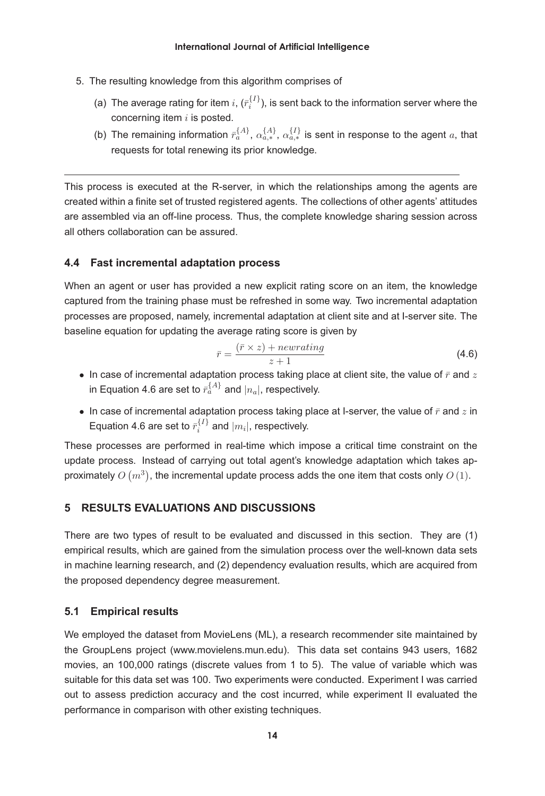- 5. The resulting knowledge from this algorithm comprises of
	- (a) The average rating for item  $i$ ,  $(\bar{r}_i^{\{I\}})$ , is sent back to the information server where the concerning item  $i$  is posted.
	- (b) The remaining information  $\bar{r}_a^{\{A\}}$ ,  $\alpha_{a,*}^{\{A\}}$ ,  $\alpha_{a,*}^{\{I\}}$  is sent in response to the agent a, that requests for total renewing its prior knowledge.

This process is executed at the R-server, in which the relationships among the agents are created within a finite set of trusted registered agents. The collections of other agents' attitudes are assembled via an off-line process. Thus, the complete knowledge sharing session across all others collaboration can be assured.

#### **4.4 Fast incremental adaptation process**

When an agent or user has provided a new explicit rating score on an item, the knowledge captured from the training phase must be refreshed in some way. Two incremental adaptation processes are proposed, namely, incremental adaptation at client site and at I-server site. The baseline equation for updating the average rating score is given by

$$
\bar{r} = \frac{(\bar{r} \times z) + newrating}{z+1}
$$
\n(4.6)

- In case of incremental adaptation process taking place at client site, the value of  $\bar{r}$  and  $z$ in Equation 4.6 are set to  $\bar{r}_a^{\{A\}}$  and  $|n_a|$ , respectively.
- In case of incremental adaptation process taking place at I-server, the value of  $\bar{r}$  and z in Equation 4.6 are set to  $\bar{r}_i^{\{I\}}$  and  $|m_i|$ , respectively.

These processes are performed in real-time which impose a critical time constraint on the update process. Instead of carrying out total agent's knowledge adaptation which takes approximately  $O(m^3)$ , the incremental update process adds the one item that costs only  $O(1)$ .

# **5 RESULTS EVALUATIONS AND DISCUSSIONS**

There are two types of result to be evaluated and discussed in this section. They are (1) empirical results, which are gained from the simulation process over the well-known data sets in machine learning research, and (2) dependency evaluation results, which are acquired from the proposed dependency degree measurement.

# **5.1 Empirical results**

We employed the dataset from MovieLens (ML), a research recommender site maintained by the GroupLens project (www.movielens.mun.edu). This data set contains 943 users, 1682 movies, an 100,000 ratings (discrete values from 1 to 5). The value of variable which was suitable for this data set was 100. Two experiments were conducted. Experiment I was carried out to assess prediction accuracy and the cost incurred, while experiment II evaluated the performance in comparison with other existing techniques.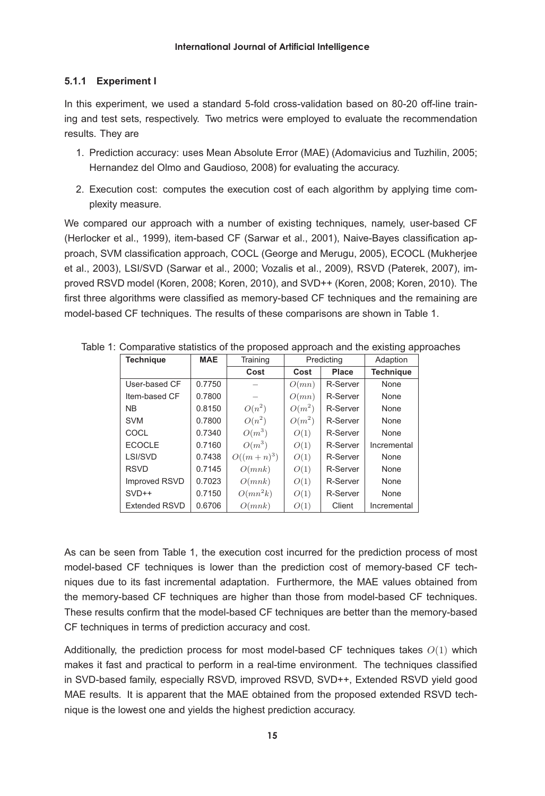# **5.1.1 Experiment I**

In this experiment, we used a standard 5-fold cross-validation based on 80-20 off-line training and test sets, respectively. Two metrics were employed to evaluate the recommendation results. They are

- 1. Prediction accuracy: uses Mean Absolute Error (MAE) (Adomavicius and Tuzhilin, 2005; Hernandez del Olmo and Gaudioso, 2008) for evaluating the accuracy.
- 2. Execution cost: computes the execution cost of each algorithm by applying time complexity measure.

We compared our approach with a number of existing techniques, namely, user-based CF (Herlocker et al., 1999), item-based CF (Sarwar et al., 2001), Naive-Bayes classification approach, SVM classification approach, COCL (George and Merugu, 2005), ECOCL (Mukherjee et al., 2003), LSI/SVD (Sarwar et al., 2000; Vozalis et al., 2009), RSVD (Paterek, 2007), improved RSVD model (Koren, 2008; Koren, 2010), and SVD++ (Koren, 2008; Koren, 2010). The first three algorithms were classified as memory-based CF techniques and the remaining are model-based CF techniques. The results of these comparisons are shown in Table 1.

| <b>Technique</b>     | <b>MAE</b> | Training     | Predicting |          | Adaption         |
|----------------------|------------|--------------|------------|----------|------------------|
|                      |            | Cost         | Cost       | Place    | <b>Technique</b> |
| User-based CF        | 0.7750     |              | O(mn)      | R-Server | None             |
| Item-based CF        | 0.7800     |              | O(mn)      | R-Server | None             |
| <b>NB</b>            | 0.8150     | $O(n^2)$     | $O(m^2)$   | R-Server | None             |
| <b>SVM</b>           | 0.7800     | $O(n^2)$     | $O(m^2)$   | R-Server | None             |
| COCL                 | 0.7340     | $O(m^3)$     | O(1)       | R-Server | None             |
| <b>ECOCLE</b>        | 0.7160     | $O(m^3)$     | O(1)       | R-Server | Incremental      |
| LSI/SVD              | 0.7438     | $O((m+n)^3)$ | O(1)       | R-Server | None             |
| <b>RSVD</b>          | 0.7145     | O(mnk)       | O(1)       | R-Server | None             |
| Improved RSVD        | 0.7023     | O(mnk)       | O(1)       | R-Server | None             |
| $SVD++$              | 0.7150     | $O(mn^2k)$   | O(1)       | R-Server | None             |
| <b>Extended RSVD</b> | 0.6706     | O(mnk)       | O(1)       | Client   | Incremental      |

Table 1: Comparative statistics of the proposed approach and the existing approaches

As can be seen from Table 1, the execution cost incurred for the prediction process of most model-based CF techniques is lower than the prediction cost of memory-based CF techniques due to its fast incremental adaptation. Furthermore, the MAE values obtained from the memory-based CF techniques are higher than those from model-based CF techniques. These results confirm that the model-based CF techniques are better than the memory-based CF techniques in terms of prediction accuracy and cost.

Additionally, the prediction process for most model-based CF techniques takes  $O(1)$  which makes it fast and practical to perform in a real-time environment. The techniques classified in SVD-based family, especially RSVD, improved RSVD, SVD++, Extended RSVD yield good MAE results. It is apparent that the MAE obtained from the proposed extended RSVD technique is the lowest one and yields the highest prediction accuracy.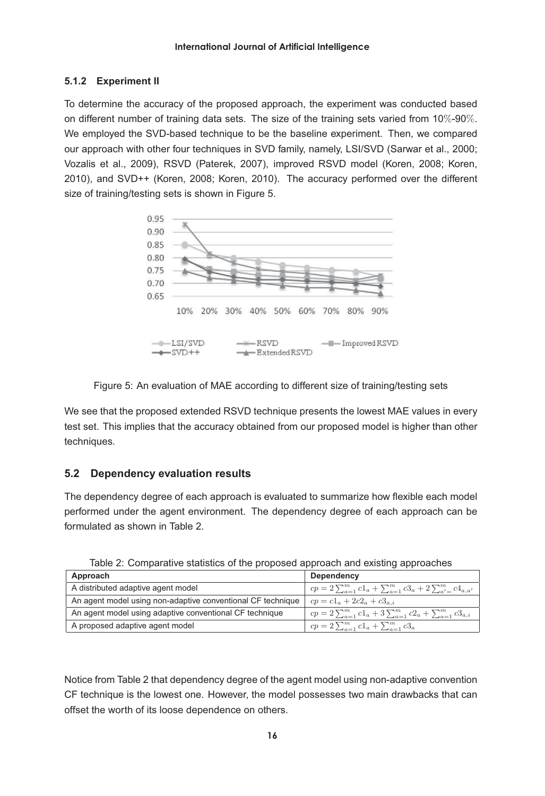# **5.1.2 Experiment II**

To determine the accuracy of the proposed approach, the experiment was conducted based on different number of training data sets. The size of the training sets varied from 10%-90%. We employed the SVD-based technique to be the baseline experiment. Then, we compared our approach with other four techniques in SVD family, namely, LSI/SVD (Sarwar et al., 2000; Vozalis et al., 2009), RSVD (Paterek, 2007), improved RSVD model (Koren, 2008; Koren, 2010), and SVD++ (Koren, 2008; Koren, 2010). The accuracy performed over the different size of training/testing sets is shown in Figure 5.





We see that the proposed extended RSVD technique presents the lowest MAE values in every test set. This implies that the accuracy obtained from our proposed model is higher than other techniques.

# **5.2 Dependency evaluation results**

The dependency degree of each approach is evaluated to summarize how flexible each model performed under the agent environment. The dependency degree of each approach can be formulated as shown in Table 2.

| Approach                                                    | Dependency                                                                         |  |  |
|-------------------------------------------------------------|------------------------------------------------------------------------------------|--|--|
| A distributed adaptive agent model                          | $cp = 2\sum_{a=1}^{m} c1_{a} + \sum_{a=1}^{m} c3_{a} + 2\sum_{a'=1}^{m} c4_{a,a'}$ |  |  |
| An agent model using non-adaptive conventional CF technique | $cp = c1_a + 2c2_a + c3_{a,i}$                                                     |  |  |
| An agent model using adaptive conventional CF technique     | $cp = 2\sum_{a=1}^{m} c1_a + 3\sum_{a=1}^{m} c2_a + \sum_{a=1}^{m} c3_{a,i}$       |  |  |
| A proposed adaptive agent model                             | $cp = 2\sum_{a=1}^{m} c1_a + \sum_{a=1}^{m} c3_a$                                  |  |  |

Table 2: Comparative statistics of the proposed approach and existing approaches

Notice from Table 2 that dependency degree of the agent model using non-adaptive convention CF technique is the lowest one. However, the model possesses two main drawbacks that can offset the worth of its loose dependence on others.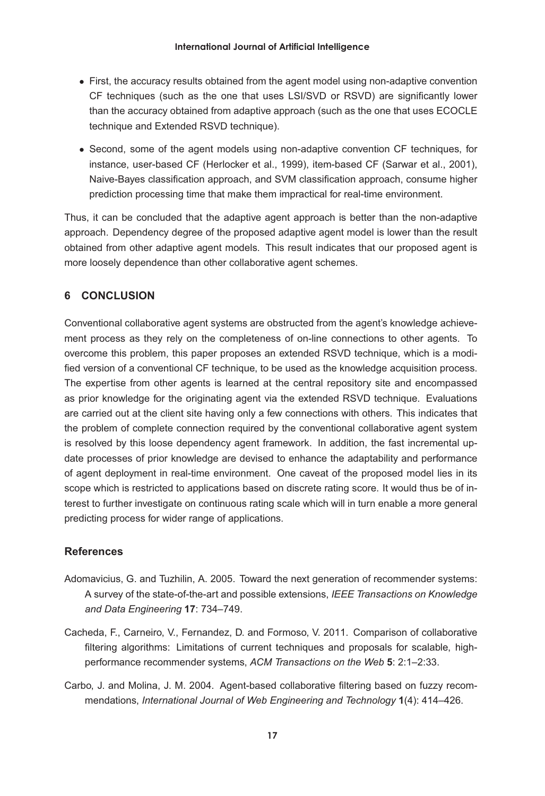- First, the accuracy results obtained from the agent model using non-adaptive convention CF techniques (such as the one that uses LSI/SVD or RSVD) are significantly lower than the accuracy obtained from adaptive approach (such as the one that uses ECOCLE technique and Extended RSVD technique).
- Second, some of the agent models using non-adaptive convention CF techniques, for instance, user-based CF (Herlocker et al., 1999), item-based CF (Sarwar et al., 2001), Naive-Bayes classification approach, and SVM classification approach, consume higher prediction processing time that make them impractical for real-time environment.

Thus, it can be concluded that the adaptive agent approach is better than the non-adaptive approach. Dependency degree of the proposed adaptive agent model is lower than the result obtained from other adaptive agent models. This result indicates that our proposed agent is more loosely dependence than other collaborative agent schemes.

# **6 CONCLUSION**

Conventional collaborative agent systems are obstructed from the agent's knowledge achievement process as they rely on the completeness of on-line connections to other agents. To overcome this problem, this paper proposes an extended RSVD technique, which is a modified version of a conventional CF technique, to be used as the knowledge acquisition process. The expertise from other agents is learned at the central repository site and encompassed as prior knowledge for the originating agent via the extended RSVD technique. Evaluations are carried out at the client site having only a few connections with others. This indicates that the problem of complete connection required by the conventional collaborative agent system is resolved by this loose dependency agent framework. In addition, the fast incremental update processes of prior knowledge are devised to enhance the adaptability and performance of agent deployment in real-time environment. One caveat of the proposed model lies in its scope which is restricted to applications based on discrete rating score. It would thus be of interest to further investigate on continuous rating scale which will in turn enable a more general predicting process for wider range of applications.

# **References**

- Adomavicius, G. and Tuzhilin, A. 2005. Toward the next generation of recommender systems: A survey of the state-of-the-art and possible extensions, *IEEE Transactions on Knowledge and Data Engineering* **17**: 734–749.
- Cacheda, F., Carneiro, V., Fernandez, D. and Formoso, V. 2011. Comparison of collaborative filtering algorithms: Limitations of current techniques and proposals for scalable, highperformance recommender systems, *ACM Transactions on the Web* **5**: 2:1–2:33.
- Carbo, J. and Molina, J. M. 2004. Agent-based collaborative filtering based on fuzzy recommendations, *International Journal of Web Engineering and Technology* **1**(4): 414–426.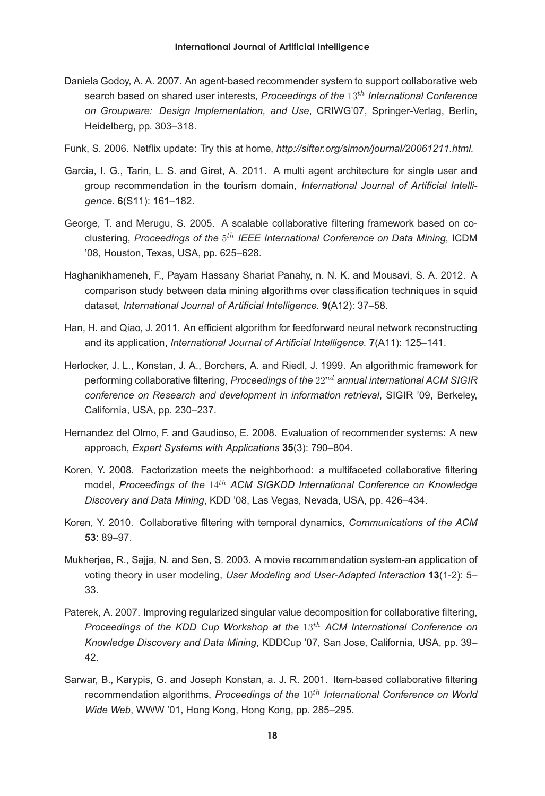- Daniela Godoy, A. A. 2007. An agent-based recommender system to support collaborative web search based on shared user interests, *Proceedings of the* 13th *International Conference on Groupware: Design Implementation, and Use*, CRIWG'07, Springer-Verlag, Berlin, Heidelberg, pp. 303–318.
- Funk, S. 2006. Netflix update: Try this at home, *http://sifter.org/simon/journal/20061211.html.*
- Garcia, I. G., Tarin, L. S. and Giret, A. 2011. A multi agent architecture for single user and group recommendation in the tourism domain, *International Journal of Artificial Intelligence.* **6**(S11): 161–182.
- George, T. and Merugu, S. 2005. A scalable collaborative filtering framework based on coclustering, *Proceedings of the* 5th *IEEE International Conference on Data Mining*, ICDM '08, Houston, Texas, USA, pp. 625–628.
- Haghanikhameneh, F., Payam Hassany Shariat Panahy, n. N. K. and Mousavi, S. A. 2012. A comparison study between data mining algorithms over classification techniques in squid dataset, *International Journal of Artificial Intelligence.* **9**(A12): 37–58.
- Han, H. and Qiao, J. 2011. An efficient algorithm for feedforward neural network reconstructing and its application, *International Journal of Artificial Intelligence.* **7**(A11): 125–141.
- Herlocker, J. L., Konstan, J. A., Borchers, A. and Riedl, J. 1999. An algorithmic framework for performing collaborative filtering, *Proceedings of the* 22nd *annual international ACM SIGIR conference on Research and development in information retrieval*, SIGIR '09, Berkeley, California, USA, pp. 230–237.
- Hernandez del Olmo, F. and Gaudioso, E. 2008. Evaluation of recommender systems: A new approach, *Expert Systems with Applications* **35**(3): 790–804.
- Koren, Y. 2008. Factorization meets the neighborhood: a multifaceted collaborative filtering model, *Proceedings of the* 14th *ACM SIGKDD International Conference on Knowledge Discovery and Data Mining*, KDD '08, Las Vegas, Nevada, USA, pp. 426–434.
- Koren, Y. 2010. Collaborative filtering with temporal dynamics, *Communications of the ACM* **53**: 89–97.
- Mukherjee, R., Sajja, N. and Sen, S. 2003. A movie recommendation system-an application of voting theory in user modeling, *User Modeling and User-Adapted Interaction* **13**(1-2): 5– 33.
- Paterek, A. 2007. Improving regularized singular value decomposition for collaborative filtering, *Proceedings of the KDD Cup Workshop at the* 13th *ACM International Conference on Knowledge Discovery and Data Mining*, KDDCup '07, San Jose, California, USA, pp. 39– 42.
- Sarwar, B., Karypis, G. and Joseph Konstan, a. J. R. 2001. Item-based collaborative filtering recommendation algorithms, Proceedings of the 10<sup>th</sup> International Conference on World *Wide Web*, WWW '01, Hong Kong, Hong Kong, pp. 285–295.